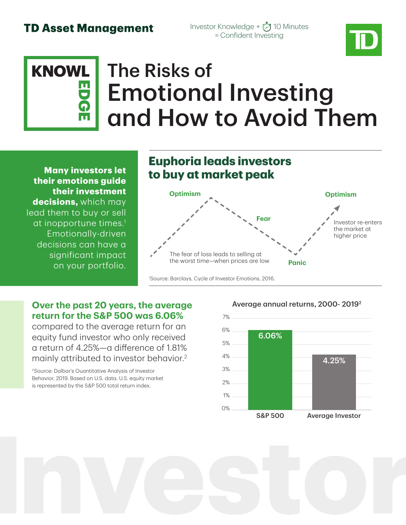### **TD Asset Management**

Investor Knowledge +  $\bigotimes$  10 Minutes = Confident Investing

### The Risks of Emotional Investing and How to Avoid Them **KNOWLEDGE**

**Many investors let their emotions guide their investment decisions,** which may lead them to buy or sell at inopportune times.1 Emotionally-driven decisions can have a significant impact on your portfolio.

## **Euphoria leads investors to buy at market peak**



1 Source: Barclays, Cycle of Investor Emotions, 2016.

### **Over the past 20 years, the average return for the S&P 500 was 6.06%**

compared to the average return for an equity fund investor who only received a return of 4.25%—a difference of 1.81% mainly attributed to investor behavior.<sup>2</sup>

2Source: Dalbar's Ouantitative Analysis of Investor Behavior, 2019. Based on U.S. data. U.S. equity market is represented by the S&P 500 total return index.



#### Average annual returns, 2000- 20192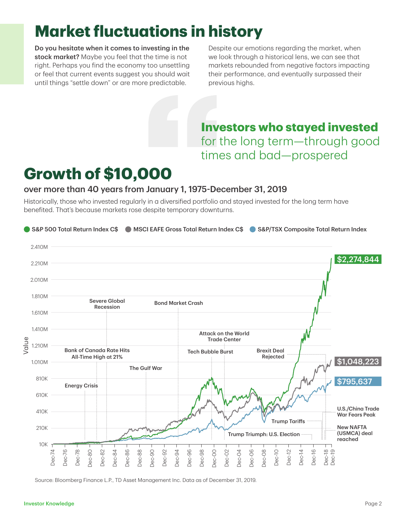# **Market fluctuations in history**

Do you hesitate when it comes to investing in the stock market? Maybe you feel that the time is not right. Perhaps you find the economy too unsettling or feel that current events suggest you should wait until things "settle down" or are more predictable.

Despite our emotions regarding the market, when we look through a historical lens, we can see that markets rebounded from negative factors impacting their performance, and eventually surpassed their previous highs.

**Investors who stayed invested** for the long term—through good times and bad—prospered

# **Growth of \$10,000**

#### over more than 40 years from January 1, 1975-December 31, 2019

Historically, those who invested regularly in a diversified portfolio and stayed invested for the long term have benefited. That's because markets rose despite temporary downturns.



Source: Bloomberg Finance L.P., TD Asset Management Inc. Data as of December 31, 2019.